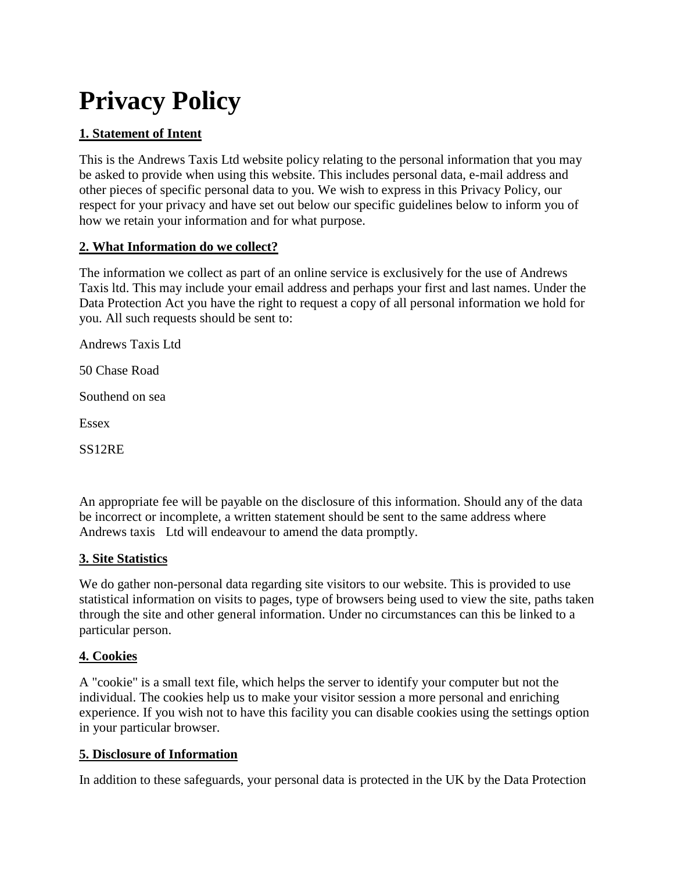# **Privacy Policy**

# **1. Statement of Intent**

This is the Andrews Taxis Ltd website policy relating to the personal information that you may be asked to provide when using this website. This includes personal data, e-mail address and other pieces of specific personal data to you. We wish to express in this Privacy Policy, our respect for your privacy and have set out below our specific guidelines below to inform you of how we retain your information and for what purpose.

## **2. What Information do we collect?**

The information we collect as part of an online service is exclusively for the use of Andrews Taxis ltd. This may include your email address and perhaps your first and last names. Under the Data Protection Act you have the right to request a copy of all personal information we hold for you. All such requests should be sent to:

Andrews Taxis Ltd

50 Chase Road

Southend on sea

Essex

SS12RE

An appropriate fee will be payable on the disclosure of this information. Should any of the data be incorrect or incomplete, a written statement should be sent to the same address where Andrews taxis Ltd will endeavour to amend the data promptly.

#### **3. Site Statistics**

We do gather non-personal data regarding site visitors to our website. This is provided to use statistical information on visits to pages, type of browsers being used to view the site, paths taken through the site and other general information. Under no circumstances can this be linked to a particular person.

#### **4. Cookies**

A "cookie" is a small text file, which helps the server to identify your computer but not the individual. The cookies help us to make your visitor session a more personal and enriching experience. If you wish not to have this facility you can disable cookies using the settings option in your particular browser.

#### **5. Disclosure of Information**

In addition to these safeguards, your personal data is protected in the UK by the Data Protection